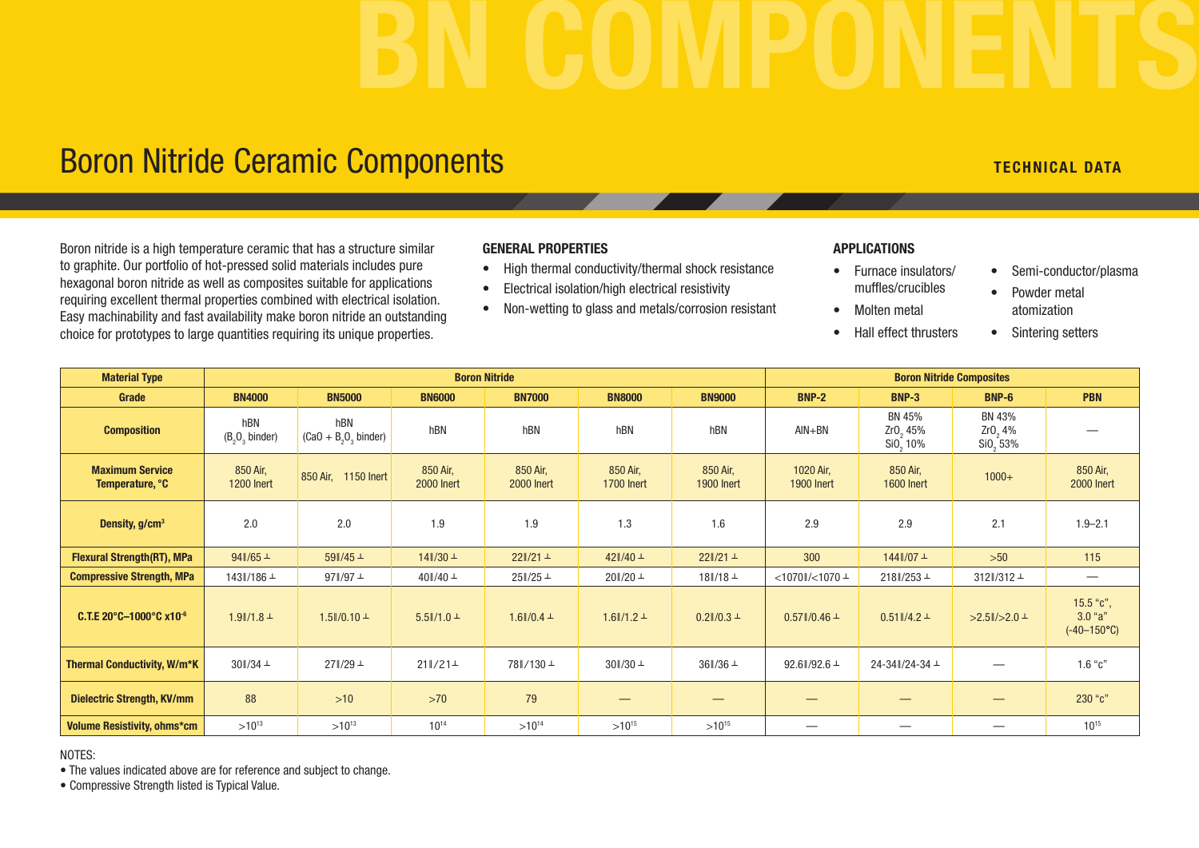# BN COMPONENTS

## Boron Nitride Ceramic Components TECHNICAL DATA TECHNICAL DATA

Boron nitride is a high temperature ceramic that has a structure similar to graphite. Our portfolio of hot-pressed solid materials includes pure hexagonal boron nitride as well as composites suitable for applications requiring excellent thermal properties combined with electrical isolation. Easy machinability and fast availability make boron nitride an outstanding choice for prototypes to large quantities requiring its unique properties.

#### GENERAL PROPERTIES

- High thermal conductivity/thermal shock resistance
- Electrical isolation/high electrical resistivity
- Non-wetting to glass and metals/corrosion resistant

#### APPLICATIONS

- Furnace insulators/ muffles/crucibles
- Molten metal
- Hall effect thrusters
- Semi-conductor/plasma
- Powder metal atomization
- Sintering setters

| <b>Material Type</b>                      | <b>Boron Nitride</b>          |                              |                               |                               |                               |                               | <b>Boron Nitride Composites</b> |                                   |                                           |                                                  |
|-------------------------------------------|-------------------------------|------------------------------|-------------------------------|-------------------------------|-------------------------------|-------------------------------|---------------------------------|-----------------------------------|-------------------------------------------|--------------------------------------------------|
| Grade                                     | <b>BN4000</b>                 | <b>BN5000</b>                | <b>BN6000</b>                 | <b>BN7000</b>                 | <b>BN8000</b>                 | <b>BN9000</b>                 | <b>BNP-2</b>                    | <b>BNP-3</b>                      | BNP-6                                     | <b>PBN</b>                                       |
| <b>Composition</b>                        | hBN<br>$(B_2O_3)$ binder)     | hBN<br>$(Ca0 + B2O3$ binder) | hBN                           | hBN                           | hBN                           | hBN                           | $AlN+BN$                        | BN 45%<br>Zr0, 45%<br>Si0, 10%    | BN 43%<br>Zr0, 4%<br>SiO <sub>2</sub> 53% |                                                  |
| <b>Maximum Service</b><br>Temperature, °C | 850 Air,<br><b>1200 Inert</b> | 850 Air, 1150 Inert          | 850 Air,<br><b>2000 Inert</b> | 850 Air,<br><b>2000 Inert</b> | 850 Air,<br><b>1700 Inert</b> | 850 Air,<br><b>1900 Inert</b> | 1020 Air,<br><b>1900 Inert</b>  | 850 Air,<br><b>1600 Inert</b>     | $1000+$                                   | 850 Air,<br><b>2000 Inert</b>                    |
| Density, g/cm <sup>3</sup>                | 2.0                           | 2.0                          | 1.9                           | 1.9                           | 1.3                           | 1.6                           | 2.9                             | 2.9                               | 2.1                                       | $1.9 - 2.1$                                      |
| <b>Flexural Strength(RT), MPa</b>         | $94\frac{1}{65}$ +            | $59\frac{\pi}{45}$           | $14\frac{1}{30}$ +            | $22\frac{1}{21} +$            | $42\frac{1}{40}$ +            | $221/21 +$                    | 300                             | $144$   /07 $\pm$                 | $>50$                                     | 115                                              |
| <b>Compressive Strength, MPa</b>          | 143∥/186 ⊥                    | $97$ $/97$ $+$               | $40$ $/40 +$                  | $25\frac{\pi}{25}$            | $20\frac{\pi}{20}$ $\pm$      | $18$ $/18 +$                  | $<$ 1070ll/ $<$ 1070 $\pm$      | $218\frac{\text{N}}{253}$ $\perp$ | $312$ $/312 +$                            |                                                  |
| C.T.E 20°C-1000°C x10 <sup>-6</sup>       | $1.9$ $/1.8$ $+$              | $1.5$ $/0.10 +$              | $5.5$ $1/1.0 +$               | $1.6$   $/0.4$ $\pm$          | $1.6$ $1/1.2 +$               | $0.2$ $/0.3$ $+$              | $0.57$ $/0.46 +$                | $0.51$ $1/4.2 +$                  | $>2.5$ $\mid$ / $>2.0$ $\perp$            | $15.5$ "c",<br>$3.0$ "a"<br>$(-40-150^{\circ}C)$ |
| <b>Thermal Conductivity, W/m*K</b>        | $30\frac{\pi}{34}$ $\pm$      | 27∥/29⊥                      | $211/21 +$                    | 78∥/130⊥                      | $30\frac{\pi}{30}$ $\pm$      | $36\frac{1}{36}$ $\pm$        | 92.6 $/92.6 +$                  | 24-34∥/24-34 ±                    |                                           | $1.6$ " $c$ "                                    |
| <b>Dielectric Strength, KV/mm</b>         | 88                            | $>10$                        | >70                           | 79                            |                               | –                             |                                 | —                                 |                                           | 230 "c"                                          |
| <b>Volume Resistivity, ohms*cm</b>        | $>10^{13}$                    | $>10^{13}$                   | $10^{14}$                     | $>10^{14}$                    | $>10^{15}$                    | $>10^{15}$                    | $\hspace{0.05cm}$               |                                   | $\hspace{0.1mm}-\hspace{0.1mm}$           | $10^{15}$                                        |

NOTES:

• The values indicated above are for reference and subject to change.

• Compressive Strength listed is Typical Value.